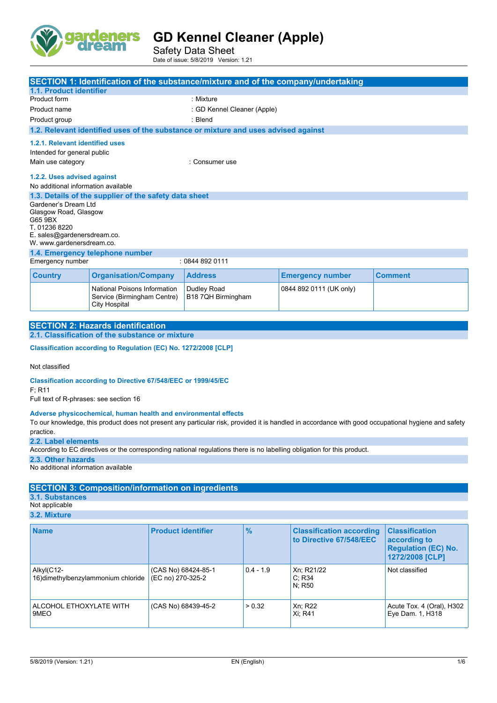

Safety Data Sheet Date of issue: 5/8/2019 Version: 1.21

|                                                                                                          |                                                                              | SECTION 1: Identification of the substance/mixture and of the company/undertaking  |                         |                |  |
|----------------------------------------------------------------------------------------------------------|------------------------------------------------------------------------------|------------------------------------------------------------------------------------|-------------------------|----------------|--|
| 1.1. Product identifier                                                                                  |                                                                              |                                                                                    |                         |                |  |
| Product form                                                                                             |                                                                              | : Mixture                                                                          |                         |                |  |
| Product name                                                                                             |                                                                              | : GD Kennel Cleaner (Apple)                                                        |                         |                |  |
| Product group                                                                                            |                                                                              | : Blend                                                                            |                         |                |  |
|                                                                                                          |                                                                              | 1.2. Relevant identified uses of the substance or mixture and uses advised against |                         |                |  |
| 1.2.1. Relevant identified uses<br>Intended for general public                                           |                                                                              |                                                                                    |                         |                |  |
| Main use category<br>: Consumer use                                                                      |                                                                              |                                                                                    |                         |                |  |
|                                                                                                          | 1.2.2. Uses advised against<br>No additional information available           |                                                                                    |                         |                |  |
|                                                                                                          | 1.3. Details of the supplier of the safety data sheet                        |                                                                                    |                         |                |  |
| Gardener's Dream Ltd<br>Glasgow Road, Glasgow<br>G65 9BX<br>T. 01236 8220<br>E. sales@gardenersdream.co. |                                                                              |                                                                                    |                         |                |  |
| W. www.gardenersdream.co.                                                                                |                                                                              |                                                                                    |                         |                |  |
|                                                                                                          | 1.4. Emergency telephone number                                              |                                                                                    |                         |                |  |
| Emergency number                                                                                         |                                                                              | : 08448920111                                                                      |                         |                |  |
| <b>Country</b>                                                                                           | <b>Organisation/Company</b>                                                  | <b>Address</b>                                                                     | <b>Emergency number</b> | <b>Comment</b> |  |
|                                                                                                          | National Poisons Information<br>Service (Birmingham Centre)<br>City Hospital | Dudley Road<br>B18 7QH Birmingham                                                  | 0844 892 0111 (UK only) |                |  |

| <b>SECTION 2: Hazards identification</b>        |
|-------------------------------------------------|
| 2.1. Classification of the substance or mixture |
|                                                 |

**Classification according to Regulation (EC) No. 1272/2008 [CLP]** 

Not classified

**Classification according to Directive 67/548/EEC or 1999/45/EC**

F; R11

Full text of R-phrases: see section 16

#### **Adverse physicochemical, human health and environmental effects**

To our knowledge, this product does not present any particular risk, provided it is handled in accordance with good occupational hygiene and safety practice.

**2.2. Label elements**

According to EC directives or the corresponding national regulations there is no labelling obligation for this product.

**2.3. Other hazards**

No additional information available

### **SECTION 3: Composition/information on ingredients**

**3.1. Substances**

Not applicable **3.2. Mixture**

| <b>Name</b>                                       | <b>Product identifier</b>                | $\frac{9}{6}$ | <b>Classification according</b><br>to Directive 67/548/EEC | <b>Classification</b><br>according to<br><b>Regulation (EC) No.</b><br>1272/2008 [CLP] |
|---------------------------------------------------|------------------------------------------|---------------|------------------------------------------------------------|----------------------------------------------------------------------------------------|
| Alkyl(C12-<br>16) dimethylbenzylammonium chloride | (CAS No) 68424-85-1<br>(EC no) 270-325-2 | $0.4 - 1.9$   | Xn; R21/22<br>C: R34<br>N: R50                             | Not classified                                                                         |
| ALCOHOL ETHOXYLATE WITH<br>9MEO                   | (CAS No) 68439-45-2                      | > 0.32        | Xn; R22<br>Xi: R41                                         | Acute Tox. 4 (Oral), H302  <br>Eye Dam. 1, H318                                        |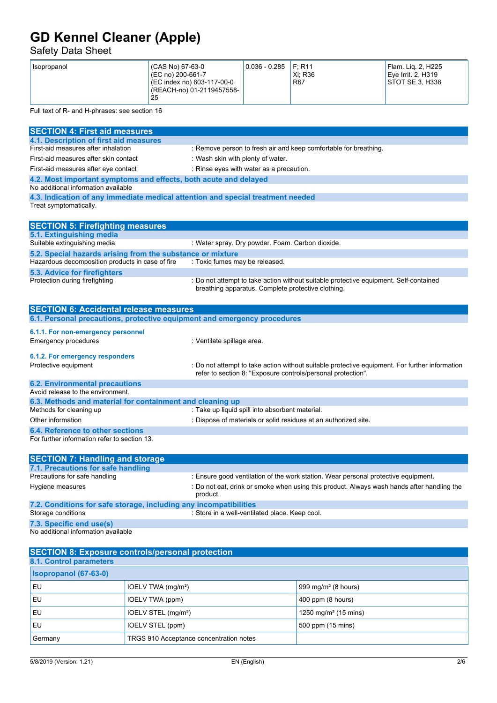## Safety Data Sheet

| (CAS No) 67-63-0<br>Isopropanol<br>(EC no) 200-661-7<br>(EC index no) 603-117-00-0<br>(REACH-no) 01-2119457558-<br>25 | $ 0.036 - 0.285 $ | F: R11<br>Xi: R36<br><b>R67</b> | Flam. Lig. 2, H225<br>Eve Irrit, 2, H319<br>STOT SE 3. H336 |
|-----------------------------------------------------------------------------------------------------------------------|-------------------|---------------------------------|-------------------------------------------------------------|
|-----------------------------------------------------------------------------------------------------------------------|-------------------|---------------------------------|-------------------------------------------------------------|

Full text of R- and H-phrases: see section 16

| <b>SECTION 4: First aid measures</b>                                            |                                                                                                                                             |
|---------------------------------------------------------------------------------|---------------------------------------------------------------------------------------------------------------------------------------------|
| 4.1. Description of first aid measures                                          |                                                                                                                                             |
| First-aid measures after inhalation                                             | : Remove person to fresh air and keep comfortable for breathing.                                                                            |
| First-aid measures after skin contact                                           | : Wash skin with plenty of water.                                                                                                           |
| First-aid measures after eye contact                                            | : Rinse eyes with water as a precaution.                                                                                                    |
| 4.2. Most important symptoms and effects, both acute and delayed                |                                                                                                                                             |
| No additional information available                                             |                                                                                                                                             |
| 4.3. Indication of any immediate medical attention and special treatment needed |                                                                                                                                             |
| Treat symptomatically.                                                          |                                                                                                                                             |
|                                                                                 |                                                                                                                                             |
| <b>SECTION 5: Firefighting measures</b>                                         |                                                                                                                                             |
| 5.1. Extinguishing media                                                        |                                                                                                                                             |
| Suitable extinguishing media                                                    | : Water spray. Dry powder. Foam. Carbon dioxide.                                                                                            |
| 5.2. Special hazards arising from the substance or mixture                      |                                                                                                                                             |
| Hazardous decomposition products in case of fire                                | : Toxic fumes may be released.                                                                                                              |
| 5.3. Advice for firefighters                                                    |                                                                                                                                             |
| Protection during firefighting                                                  | : Do not attempt to take action without suitable protective equipment. Self-contained<br>breathing apparatus. Complete protective clothing. |
|                                                                                 |                                                                                                                                             |
| <b>SECTION 6: Accidental release measures</b>                                   |                                                                                                                                             |
|                                                                                 |                                                                                                                                             |
| 6.1. Personal precautions, protective equipment and emergency procedures        |                                                                                                                                             |
| 6.1.1. For non-emergency personnel                                              |                                                                                                                                             |
| <b>Emergency procedures</b>                                                     | : Ventilate spillage area.                                                                                                                  |
| 6.1.2. For emergency responders                                                 |                                                                                                                                             |
| Protective equipment                                                            | : Do not attempt to take action without suitable protective equipment. For further information                                              |
|                                                                                 | refer to section 8: "Exposure controls/personal protection".                                                                                |
| <b>6.2. Environmental precautions</b>                                           |                                                                                                                                             |
| Avoid release to the environment.                                               |                                                                                                                                             |
| 6.3. Methods and material for containment and cleaning up                       |                                                                                                                                             |
| Methods for cleaning up                                                         | : Take up liquid spill into absorbent material.                                                                                             |
| Other information                                                               | : Dispose of materials or solid residues at an authorized site.                                                                             |
| 6.4. Reference to other sections                                                |                                                                                                                                             |
| For further information refer to section 13.                                    |                                                                                                                                             |
|                                                                                 |                                                                                                                                             |
| <b>SECTION 7: Handling and storage</b>                                          |                                                                                                                                             |
| 7.1. Precautions for safe handling                                              |                                                                                                                                             |
| Precautions for safe handling                                                   | : Ensure good ventilation of the work station. Wear personal protective equipment.                                                          |
| Hygiene measures                                                                | : Do not eat, drink or smoke when using this product. Always wash hands after handling the                                                  |
|                                                                                 | product.                                                                                                                                    |
| 7.2. Conditions for safe storage, including any incompatibilities               |                                                                                                                                             |
| Storage conditions                                                              | : Store in a well-ventilated place. Keep cool.                                                                                              |
| 7.3. Specific end use(s)                                                        |                                                                                                                                             |
| No additional information available                                             |                                                                                                                                             |

| <b>SECTION 8: Exposure controls/personal protection</b> |                                         |                                  |
|---------------------------------------------------------|-----------------------------------------|----------------------------------|
| 8.1. Control parameters                                 |                                         |                                  |
| <b>Isopropanol (67-63-0)</b>                            |                                         |                                  |
| l EU                                                    | IOELV TWA (mg/m <sup>3</sup> )          | 999 mg/m $3$ (8 hours)           |
| l EU                                                    | IOELV TWA (ppm)                         | 400 ppm (8 hours)                |
| l EU                                                    | IOELV STEL (mg/m <sup>3</sup> )         | 1250 mg/m <sup>3</sup> (15 mins) |
| EU                                                      | IOELV STEL (ppm)                        | 500 ppm (15 mins)                |
| Germany                                                 | TRGS 910 Acceptance concentration notes |                                  |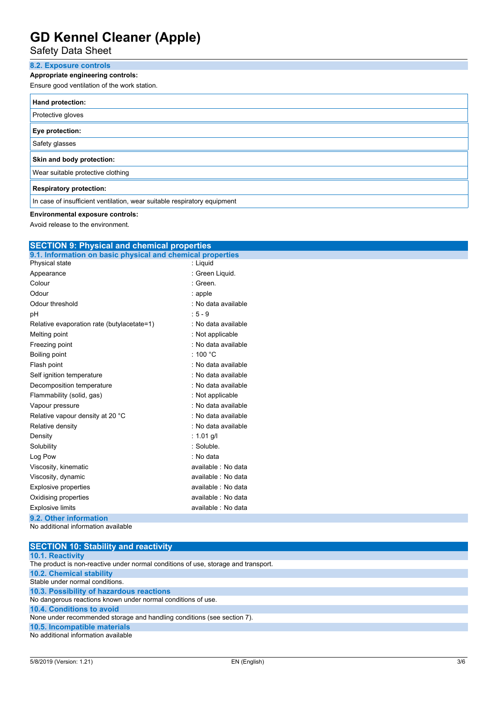Safety Data Sheet

### **8.2. Exposure controls**

### **Appropriate engineering controls:**

Ensure good ventilation of the work station.

| Hand protection:                                                         |
|--------------------------------------------------------------------------|
| Protective gloves                                                        |
| Eye protection:                                                          |
| Safety glasses                                                           |
| Skin and body protection:                                                |
| Wear suitable protective clothing                                        |
| <b>Respiratory protection:</b>                                           |
| In case of insufficient ventilation, wear suitable respiratory equipment |

### **Environmental exposure controls:**

Avoid release to the environment.

| <b>SECTION 9: Physical and chemical properties</b>         |                     |  |
|------------------------------------------------------------|---------------------|--|
| 9.1. Information on basic physical and chemical properties |                     |  |
| Physical state                                             | : Liquid            |  |
| Appearance                                                 | : Green Liquid.     |  |
| Colour                                                     | : Green.            |  |
| Odour                                                      | : apple             |  |
| Odour threshold                                            | : No data available |  |
| pH                                                         | $.5 - 9$            |  |
| Relative evaporation rate (butylacetate=1)                 | : No data available |  |
| Melting point                                              | : Not applicable    |  |
| Freezing point                                             | : No data available |  |
| Boiling point                                              | : 100 $^{\circ}$ C  |  |
| Flash point                                                | : No data available |  |
| Self ignition temperature                                  | : No data available |  |
| Decomposition temperature                                  | : No data available |  |
| Flammability (solid, gas)                                  | : Not applicable    |  |
| Vapour pressure                                            | : No data available |  |
| Relative vapour density at 20 °C                           | : No data available |  |
| Relative density                                           | : No data available |  |
| Density                                                    | : 1.01 g/l          |  |
| Solubility                                                 | : Soluble.          |  |
| Log Pow                                                    | : No data           |  |
| Viscosity, kinematic                                       | available : No data |  |
| Viscosity, dynamic                                         | available : No data |  |
| <b>Explosive properties</b>                                | available : No data |  |
| Oxidising properties                                       | available : No data |  |
| <b>Explosive limits</b>                                    | available : No data |  |
| 9.2. Other information                                     |                     |  |
| No additional information available                        |                     |  |

| <b>SECTION 10: Stability and reactivity</b>                                        |
|------------------------------------------------------------------------------------|
| <b>10.1. Reactivity</b>                                                            |
| The product is non-reactive under normal conditions of use, storage and transport. |
| 10.2. Chemical stability                                                           |
| Stable under normal conditions.                                                    |
| 10.3. Possibility of hazardous reactions                                           |
| No dangerous reactions known under normal conditions of use.                       |
| 10.4. Conditions to avoid                                                          |
| None under recommended storage and handling conditions (see section 7).            |
| 10.5. Incompatible materials                                                       |
| No additional information available                                                |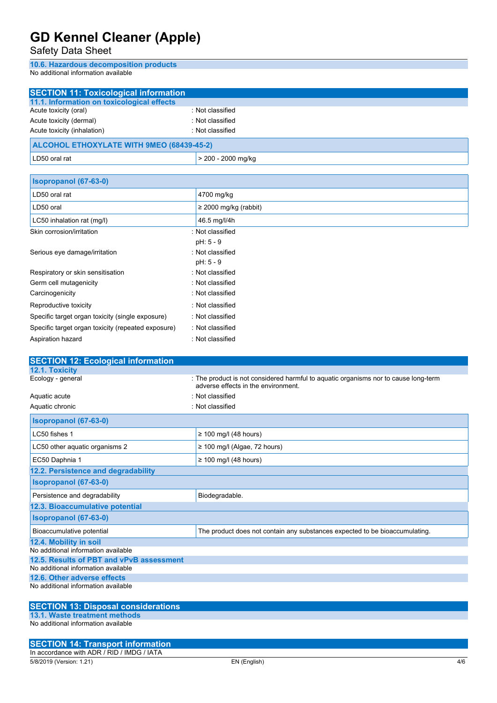Safety Data Sheet

**10.6. Hazardous decomposition products** No additional information available

| <b>SECTION 11: Toxicological information</b> |                    |  |
|----------------------------------------------|--------------------|--|
| 11.1. Information on toxicological effects   |                    |  |
| Acute toxicity (oral)                        | : Not classified   |  |
| Acute toxicity (dermal)                      | : Not classified   |  |
| Acute toxicity (inhalation)                  | : Not classified   |  |
| ALCOHOL ETHOXYLATE WITH 9MEO (68439-45-2)    |                    |  |
| LD50 oral rat                                | > 200 - 2000 mg/kg |  |

| Isopropanol (67-63-0)                              |                            |
|----------------------------------------------------|----------------------------|
| LD50 oral rat                                      | 4700 mg/kg                 |
| LD50 oral                                          | $\geq$ 2000 mg/kg (rabbit) |
| LC50 inhalation rat (mg/l)                         | 46.5 mg/l/4h               |
| Skin corrosion/irritation                          | : Not classified           |
|                                                    | $pH: 5 - 9$                |
| Serious eye damage/irritation                      | : Not classified           |
|                                                    | $pH: 5 - 9$                |
| Respiratory or skin sensitisation                  | : Not classified           |
| Germ cell mutagenicity                             | : Not classified           |
| Carcinogenicity                                    | : Not classified           |
| Reproductive toxicity                              | : Not classified           |
| Specific target organ toxicity (single exposure)   | : Not classified           |
| Specific target organ toxicity (repeated exposure) | : Not classified           |
| Aspiration hazard                                  | : Not classified           |

| <b>SECTION 12: Ecological information</b>                     |                                                                                                                            |
|---------------------------------------------------------------|----------------------------------------------------------------------------------------------------------------------------|
| 12.1. Toxicity                                                |                                                                                                                            |
| Ecology - general                                             | : The product is not considered harmful to aquatic organisms nor to cause long-term<br>adverse effects in the environment. |
| Aquatic acute                                                 | : Not classified                                                                                                           |
| Aquatic chronic                                               | : Not classified                                                                                                           |
| Isopropanol (67-63-0)                                         |                                                                                                                            |
| LC50 fishes 1                                                 | $\geq$ 100 mg/l (48 hours)                                                                                                 |
| LC50 other aquatic organisms 2                                | $\geq$ 100 mg/l (Algae, 72 hours)                                                                                          |
| EC50 Daphnia 1                                                | $\geq$ 100 mg/l (48 hours)                                                                                                 |
| 12.2. Persistence and degradability                           |                                                                                                                            |
| Isopropanol (67-63-0)                                         |                                                                                                                            |
| Persistence and degradability                                 | Biodegradable.                                                                                                             |
| 12.3. Bioaccumulative potential                               |                                                                                                                            |
| Isopropanol (67-63-0)                                         |                                                                                                                            |
| Bioaccumulative potential                                     | The product does not contain any substances expected to be bioaccumulating.                                                |
| 12.4. Mobility in soil<br>No additional information available |                                                                                                                            |
| 12.5. Results of PBT and vPvB assessment                      |                                                                                                                            |
| No additional information available                           |                                                                                                                            |
| 12.6. Other adverse effects                                   |                                                                                                                            |
| No additional information available                           |                                                                                                                            |
|                                                               |                                                                                                                            |
| <b>SECTION 13: Disposal considerations</b>                    |                                                                                                                            |

### **SECTION 13: Disposal considerations**

**13.1. Waste treatment methods** No additional information available

5/8/2019 (Version: 1.21) EN (English) 4/6 **SECTION 14: Transport information** In accordance with ADR / RID / IMDG / IATA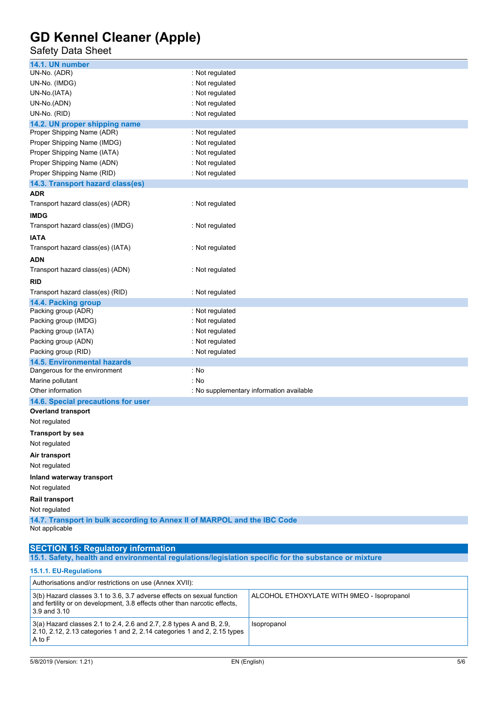### Safety Data Sheet

| 14.1. UN number                                                          |                                          |  |
|--------------------------------------------------------------------------|------------------------------------------|--|
| UN-No. (ADR)                                                             | : Not regulated                          |  |
| UN-No. (IMDG)                                                            | : Not regulated                          |  |
| UN-No.(IATA)                                                             | : Not regulated                          |  |
| UN-No.(ADN)                                                              | : Not regulated                          |  |
| UN-No. (RID)                                                             | : Not regulated                          |  |
| 14.2. UN proper shipping name                                            |                                          |  |
| Proper Shipping Name (ADR)                                               | : Not regulated                          |  |
| Proper Shipping Name (IMDG)                                              | : Not regulated                          |  |
| Proper Shipping Name (IATA)                                              | : Not regulated                          |  |
| Proper Shipping Name (ADN)                                               | : Not regulated                          |  |
| Proper Shipping Name (RID)                                               | : Not regulated                          |  |
| 14.3. Transport hazard class(es)                                         |                                          |  |
| ADR                                                                      |                                          |  |
| Transport hazard class(es) (ADR)                                         | : Not regulated                          |  |
| <b>IMDG</b>                                                              |                                          |  |
| Transport hazard class(es) (IMDG)                                        | : Not regulated                          |  |
| <b>IATA</b>                                                              |                                          |  |
| Transport hazard class(es) (IATA)                                        | : Not regulated                          |  |
| ADN                                                                      |                                          |  |
| Transport hazard class(es) (ADN)                                         | : Not regulated                          |  |
|                                                                          |                                          |  |
| RID                                                                      |                                          |  |
| Transport hazard class(es) (RID)                                         | : Not regulated                          |  |
| 14.4. Packing group<br>Packing group (ADR)                               | : Not regulated                          |  |
| Packing group (IMDG)                                                     | : Not regulated                          |  |
| Packing group (IATA)                                                     | : Not regulated                          |  |
| Packing group (ADN)                                                      | : Not regulated                          |  |
| Packing group (RID)                                                      | : Not regulated                          |  |
| <b>14.5. Environmental hazards</b>                                       |                                          |  |
| Dangerous for the environment                                            | : No                                     |  |
| Marine pollutant                                                         | : No                                     |  |
| Other information                                                        | : No supplementary information available |  |
| 14.6. Special precautions for user                                       |                                          |  |
| <b>Overland transport</b>                                                |                                          |  |
| Not regulated                                                            |                                          |  |
| <b>Transport by sea</b>                                                  |                                          |  |
| Not regulated                                                            |                                          |  |
| Air transport                                                            |                                          |  |
| Not regulated                                                            |                                          |  |
|                                                                          |                                          |  |
| Inland waterway transport                                                |                                          |  |
| Not regulated                                                            |                                          |  |
| Rail transport                                                           |                                          |  |
| Not regulated                                                            |                                          |  |
| 14.7. Transport in bulk according to Annex II of MARPOL and the IBC Code |                                          |  |
| Not applicable                                                           |                                          |  |
|                                                                          |                                          |  |

### **SECTION 15: Regulatory information**

**15.1. Safety, health and environmental regulations/legislation specific for the substance or mixture**

### **15.1.1. EU-Regulations**

| Authorisations and/or restrictions on use (Annex XVII):                                                                                                                 |                                            |  |
|-------------------------------------------------------------------------------------------------------------------------------------------------------------------------|--------------------------------------------|--|
| 3(b) Hazard classes 3.1 to 3.6, 3.7 adverse effects on sexual function<br>and fertility or on development, 3.8 effects other than narcotic effects,<br>$3.9$ and $3.10$ | ALCOHOL ETHOXYLATE WITH 9MEO - Isopropanol |  |
| $3(a)$ Hazard classes 2.1 to 2.4, 2.6 and 2.7, 2.8 types A and B, 2.9,<br>2.10, 2.12, 2.13 categories 1 and 2, 2.14 categories 1 and 2, 2.15 types<br>A to F            | Isopropanol                                |  |